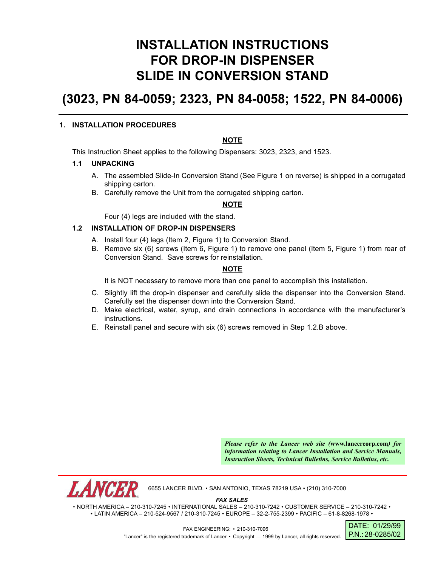# **INSTALLATION INSTRUCTIONS FOR DROP-IN DISPENSER SLIDE IN CONVERSION STAND**

# **(3023, PN 84-0059; 2323, PN 84-0058; 1522, PN 84-0006)**

#### **1. INSTALLATION PROCEDURES**

# **NOTE**

This Instruction Sheet applies to the following Dispensers: 3023, 2323, and 1523.

#### **1.1 UNPACKING**

- A. The assembled Slide-In Conversion Stand (See Figure 1 on reverse) is shipped in a corrugated shipping carton.
- B. Carefully remove the Unit from the corrugated shipping carton.

# **NOTE**

Four (4) legs are included with the stand.

# **1.2 INSTALLATION OF DROP-IN DISPENSERS**

- A. Install four (4) legs (Item 2, Figure 1) to Conversion Stand.
- B. Remove six (6) screws (Item 6, Figure 1) to remove one panel (Item 5, Figure 1) from rear of Conversion Stand. Save screws for reinstallation.

#### **NOTE**

It is NOT necessary to remove more than one panel to accomplish this installation.

- C. Slightly lift the drop-in dispenser and carefully slide the dispenser into the Conversion Stand. Carefully set the dispenser down into the Conversion Stand.
- D. Make electrical, water, syrup, and drain connections in accordance with the manufacturer's instructions.
- E. Reinstall panel and secure with six (6) screws removed in Step 1.2.B above.

*Please refer to the Lancer web site (***www.lancercorp.com***) for information relating to Lancer Installation and Service Manuals, Instruction Sheets, Technical Bulletins, Service Bulletins, etc.*

6655 LANCER BLVD. • SAN ANTONIO, TEXAS 78219 USA • (210) 310-7000

*FAX SALES*

• NORTH AMERICA – 210-310-7245 • INTERNATIONAL SALES – 210-310-7242 • CUSTOMER SERVICE – 210-310-7242 • • LATIN AMERICA – 210-524-9567 / 210-310-7245 • EUROPE – 32-2-755-2399 • PACIFIC – 61-8-8268-1978 •

> DATE: 01/29/99 P.N.: 28-0285/02

FAX ENGINEERING: • 210-310-7096 "Lancer" is the registered trademark of Lancer • Copyright — 1999 by Lancer, all rights reserved.